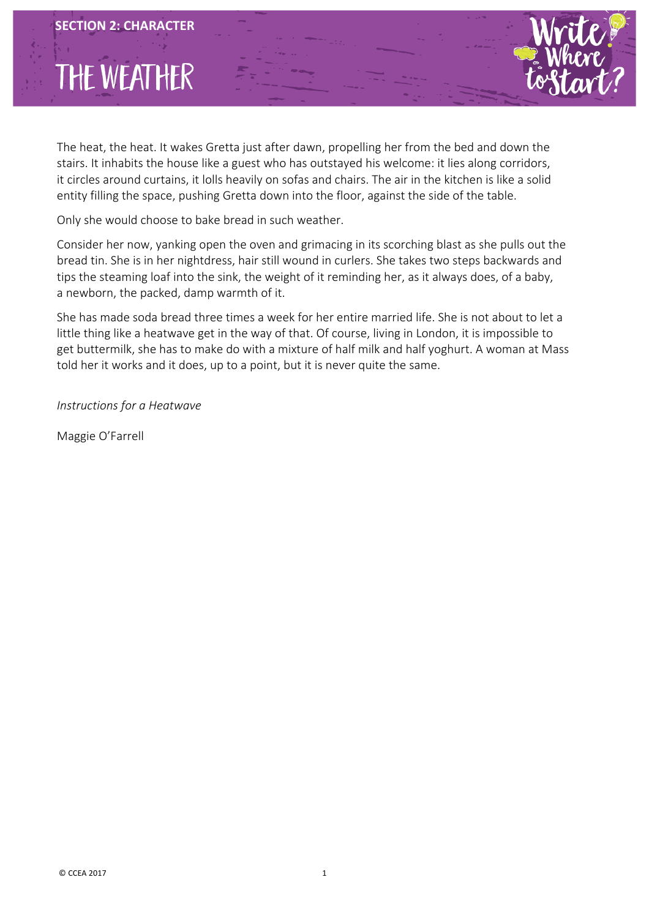## THE WEATHER

j

The heat, the heat. It wakes Gretta just after dawn, propelling her from the bed and down the stairs. It inhabits the house like a guest who has outstayed his welcome: it lies along corridors, it circles around curtains, it lolls heavily on sofas and chairs. The air in the kitchen is like a solid entity filling the space, pushing Gretta down into the floor, against the side of the table.

Only she would choose to bake bread in such weather.

Consider her now, yanking open the oven and grimacing in its scorching blast as she pulls out the bread tin. She is in her nightdress, hair still wound in curlers. She takes two steps backwards and tips the steaming loaf into the sink, the weight of it reminding her, as it always does, of a baby, a newborn, the packed, damp warmth of it.

She has made soda bread three times a week for her entire married life. She is not about to let a little thing like a heatwave get in the way of that. Of course, living in London, it is impossible to get buttermilk, she has to make do with a mixture of half milk and half yoghurt. A woman at Mass told her it works and it does, up to a point, but it is never quite the same.

*Instructions for a Heatwave*

Maggie O'Farrell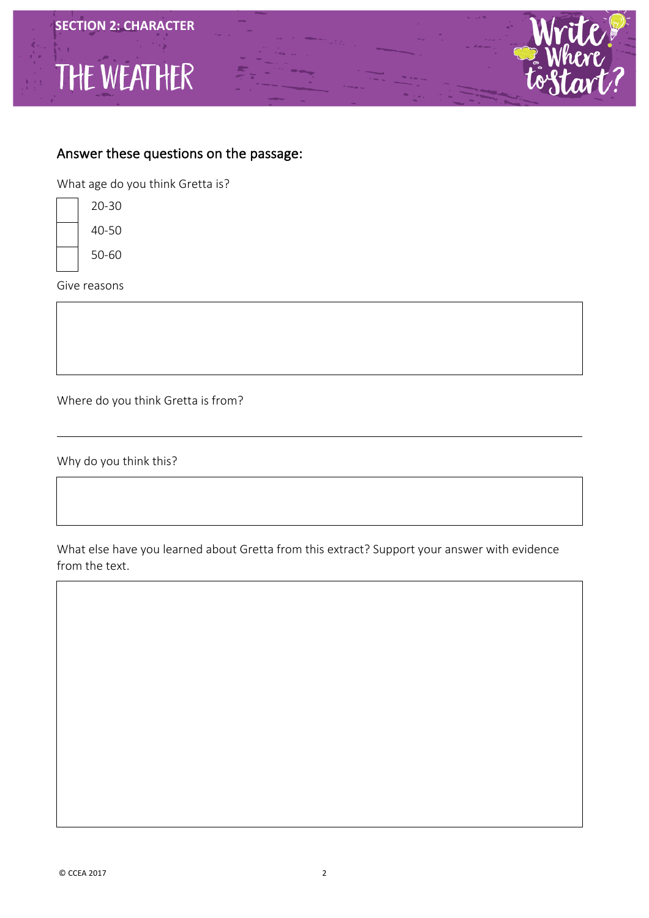





What age do you think Gretta is?

| 20-30 |
|-------|
| 40-50 |
| 50-60 |

Give reasons

Where do you think Gretta is from?

Why do you think this?

What else have you learned about Gretta from this extract? Support your answer with evidence from the text.